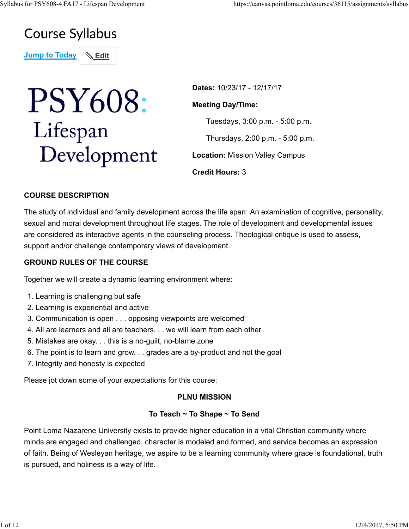# **Course Syllabus**

**Jump to Today | & Edit** 

# **PSY608:** Lifespan Development

**Dates:** 10/23/17 - 12/17/17

#### **Meeting Day/Time:**

Tuesdays, 3:00 p.m. - 5:00 p.m.

Thursdays, 2:00 p.m. - 5:00 p.m.

**Location:** Mission Valley Campus

**Credit Hours:** 3

# **COURSE DESCRIPTION**

The study of individual and family development across the life span: An examination of cognitive, personality, sexual and moral development throughout life stages. The role of development and developmental issues are considered as interactive agents in the counseling process. Theological critique is used to assess, support and/or challenge contemporary views of development.

# **GROUND RULES OF THE COURSE**

Together we will create a dynamic learning environment where:

- 1. Learning is challenging but safe
- 2. Learning is experiential and active
- 3. Communication is open . . . opposing viewpoints are welcomed
- 4. All are learners and all are teachers. . . we will learn from each other
- 5. Mistakes are okay. . . this is a no-guilt, no-blame zone
- 6. The point is to learn and grow. . . grades are a by-product and not the goal
- 7. Integrity and honesty is expected

Please jot down some of your expectations for this course:

#### **PLNU MISSION**

## **To Teach ~ To Shape ~ To Send**

Point Loma Nazarene University exists to provide higher education in a vital Christian community where minds are engaged and challenged, character is modeled and formed, and service becomes an expression of faith. Being of Wesleyan heritage, we aspire to be a learning community where grace is foundational, truth is pursued, and holiness is a way of life.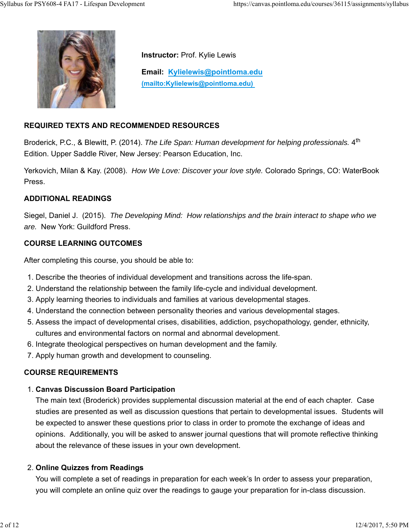

**Instructor:** Prof. Kylie Lewis

**Email: Kylielewis@pointloma.edu (mailto:Kylielewis@pointloma.edu)** 

# **REQUIRED TEXTS AND RECOMMENDED RESOURCES**

Broderick, P.C., & Blewitt, P. (2014). *The Life Span: Human development for helping professionals.* 4<sup>th</sup> Edition. Upper Saddle River, New Jersey: Pearson Education, Inc.

Yerkovich, Milan & Kay. (2008). *How We Love: Discover your love style.* Colorado Springs, CO: WaterBook Press.

## **ADDITIONAL READINGS**

Siegel, Daniel J. (2015). *The Developing Mind: How relationships and the brain interact to shape who we are.* New York: Guildford Press.

#### **COURSE LEARNING OUTCOMES**

After completing this course, you should be able to:

- 1. Describe the theories of individual development and transitions across the life-span.
- 2. Understand the relationship between the family life-cycle and individual development.
- 3. Apply learning theories to individuals and families at various developmental stages.
- 4. Understand the connection between personality theories and various developmental stages.
- 5. Assess the impact of developmental crises, disabilities, addiction, psychopathology, gender, ethnicity, cultures and environmental factors on normal and abnormal development.
- 6. Integrate theological perspectives on human development and the family.
- 7. Apply human growth and development to counseling.

#### **COURSE REQUIREMENTS**

#### **Canvas Discussion Board Participation** 1.

The main text (Broderick) provides supplemental discussion material at the end of each chapter. Case studies are presented as well as discussion questions that pertain to developmental issues. Students will be expected to answer these questions prior to class in order to promote the exchange of ideas and opinions. Additionally, you will be asked to answer journal questions that will promote reflective thinking about the relevance of these issues in your own development.

#### **Online Quizzes from Readings** 2.

You will complete a set of readings in preparation for each week's In order to assess your preparation, you will complete an online quiz over the readings to gauge your preparation for in-class discussion.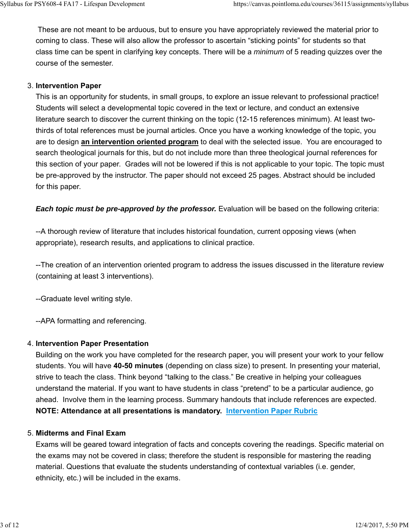These are not meant to be arduous, but to ensure you have appropriately reviewed the material prior to coming to class. These will also allow the professor to ascertain "sticking points" for students so that class time can be spent in clarifying key concepts. There will be a *minimum* of 5 reading quizzes over the course of the semester.

# **Intervention Paper** 3.

This is an opportunity for students, in small groups, to explore an issue relevant to professional practice! Students will select a developmental topic covered in the text or lecture, and conduct an extensive literature search to discover the current thinking on the topic (12-15 references minimum). At least twothirds of total references must be journal articles. Once you have a working knowledge of the topic, you are to design **an intervention oriented program** to deal with the selected issue. You are encouraged to search theological journals for this, but do not include more than three theological journal references for this section of your paper. Grades will not be lowered if this is not applicable to your topic. The topic must be pre-approved by the instructor. The paper should not exceed 25 pages. Abstract should be included for this paper.

*Each topic must be pre-approved by the professor.* Evaluation will be based on the following criteria:

--A thorough review of literature that includes historical foundation, current opposing views (when appropriate), research results, and applications to clinical practice.

--The creation of an intervention oriented program to address the issues discussed in the literature review (containing at least 3 interventions).

--Graduate level writing style.

--APA formatting and referencing.

## **Intervention Paper Presentation** 4.

Building on the work you have completed for the research paper, you will present your work to your fellow students. You will have **40-50 minutes** (depending on class size) to present. In presenting your material, strive to teach the class. Think beyond "talking to the class." Be creative in helping your colleagues understand the material. If you want to have students in class "pretend" to be a particular audience, go ahead. Involve them in the learning process. Summary handouts that include references are expected. **NOTE: Attendance at all presentations is mandatory. Intervention Paper Rubric**

## **Midterms and Final Exam** 5.

Exams will be geared toward integration of facts and concepts covering the readings. Specific material on the exams may not be covered in class; therefore the student is responsible for mastering the reading material. Questions that evaluate the students understanding of contextual variables (i.e. gender, ethnicity, etc.) will be included in the exams.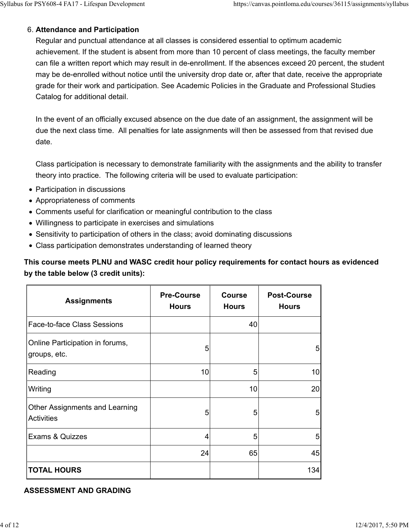# **Attendance and Participation** 6.

Regular and punctual attendance at all classes is considered essential to optimum academic achievement. If the student is absent from more than 10 percent of class meetings, the faculty member can file a written report which may result in de-enrollment. If the absences exceed 20 percent, the student may be de-enrolled without notice until the university drop date or, after that date, receive the appropriate grade for their work and participation. See Academic Policies in the Graduate and Professional Studies Catalog for additional detail.

In the event of an officially excused absence on the due date of an assignment, the assignment will be due the next class time. All penalties for late assignments will then be assessed from that revised due date.

Class participation is necessary to demonstrate familiarity with the assignments and the ability to transfer theory into practice. The following criteria will be used to evaluate participation:

- Participation in discussions
- Appropriateness of comments
- Comments useful for clarification or meaningful contribution to the class
- Willingness to participate in exercises and simulations
- Sensitivity to participation of others in the class; avoid dominating discussions
- Class participation demonstrates understanding of learned theory

**This course meets PLNU and WASC credit hour policy requirements for contact hours as evidenced by the table below (3 credit units):**

| <b>Assignments</b>                              | <b>Pre-Course</b><br><b>Hours</b> | <b>Course</b><br><b>Hours</b> | <b>Post-Course</b><br><b>Hours</b> |
|-------------------------------------------------|-----------------------------------|-------------------------------|------------------------------------|
| <b>Face-to-face Class Sessions</b>              |                                   | 40                            |                                    |
| Online Participation in forums,<br>groups, etc. | 5                                 |                               | 5 <sub>l</sub>                     |
| Reading                                         | 10                                | 5                             | 10 <sup>1</sup>                    |
| Writing                                         |                                   | 10                            | 20 <sub>l</sub>                    |
| Other Assignments and Learning<br>Activities    | 5                                 | 5                             | 5 <sub>l</sub>                     |
| Exams & Quizzes                                 | 4                                 | 5                             | 5 <sub>l</sub>                     |
|                                                 | 24                                | 65                            | 45                                 |
| <b>TOTAL HOURS</b>                              |                                   |                               | 134                                |

#### **ASSESSMENT AND GRADING**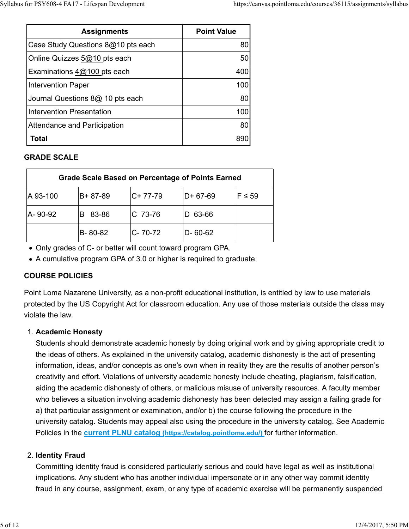| <b>Assignments</b>                 | <b>Point Value</b> |
|------------------------------------|--------------------|
| Case Study Questions 8@10 pts each | 80                 |
| Online Quizzes 5@10 pts each       | 50                 |
| Examinations $4@100$ pts each      | 400                |
| Intervention Paper                 | 100                |
| Journal Questions 8@ 10 pts each   | 80                 |
| Intervention Presentation          | 100                |
| Attendance and Participation       | 80                 |
| Total                              |                    |

# **GRADE SCALE**

| <b>Grade Scale Based on Percentage of Points Earned</b> |         |            |           |            |
|---------------------------------------------------------|---------|------------|-----------|------------|
| A 93-100                                                | B+87-89 | $C+ 77-79$ | $D+67-69$ | $F \le 59$ |
| A-90-92                                                 | 83-86   | IC 73-76   | 63-66     |            |
|                                                         | B-80-82 | C-70-72    | D-60-62   |            |

Only grades of C- or better will count toward program GPA.

A cumulative program GPA of 3.0 or higher is required to graduate.

# **COURSE POLICIES**

Point Loma Nazarene University, as a non-profit educational institution, is entitled by law to use materials protected by the US Copyright Act for classroom education. Any use of those materials outside the class may violate the law.

# **Academic Honesty** 1.

Students should demonstrate academic honesty by doing original work and by giving appropriate credit to the ideas of others. As explained in the university catalog, academic dishonesty is the act of presenting information, ideas, and/or concepts as one's own when in reality they are the results of another person's creativity and effort. Violations of university academic honesty include cheating, plagiarism, falsification, aiding the academic dishonesty of others, or malicious misuse of university resources. A faculty member who believes a situation involving academic dishonesty has been detected may assign a failing grade for a) that particular assignment or examination, and/or b) the course following the procedure in the university catalog. Students may appeal also using the procedure in the university catalog. See Academic Policies in the **current PLNU catalog (https://catalog.pointloma.edu/)** for further information.

# **Identity Fraud** 2.

Committing identity fraud is considered particularly serious and could have legal as well as institutional implications. Any student who has another individual impersonate or in any other way commit identity fraud in any course, assignment, exam, or any type of academic exercise will be permanently suspended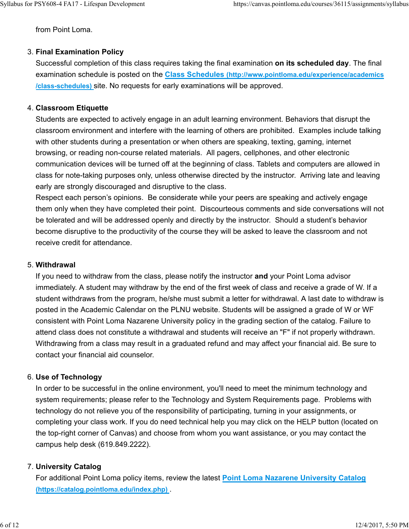from Point Loma.

#### **Final Examination Policy** 3.

Successful completion of this class requires taking the final examination **on its scheduled day**. The final examination schedule is posted on the **Class Schedules (http://www.pointloma.edu/experience/academics /class-schedules)** site. No requests for early examinations will be approved.

#### **Classroom Etiquette** 4.

Students are expected to actively engage in an adult learning environment. Behaviors that disrupt the classroom environment and interfere with the learning of others are prohibited. Examples include talking with other students during a presentation or when others are speaking, texting, gaming, internet browsing, or reading non-course related materials. All pagers, cellphones, and other electronic communication devices will be turned off at the beginning of class. Tablets and computers are allowed in class for note-taking purposes only, unless otherwise directed by the instructor. Arriving late and leaving early are strongly discouraged and disruptive to the class.

Respect each person's opinions. Be considerate while your peers are speaking and actively engage them only when they have completed their point. Discourteous comments and side conversations will not be tolerated and will be addressed openly and directly by the instructor. Should a student's behavior become disruptive to the productivity of the course they will be asked to leave the classroom and not receive credit for attendance.

#### **Withdrawal** 5.

If you need to withdraw from the class, please notify the instructor **and** your Point Loma advisor immediately. A student may withdraw by the end of the first week of class and receive a grade of W. If a student withdraws from the program, he/she must submit a letter for withdrawal. A last date to withdraw is posted in the Academic Calendar on the PLNU website. Students will be assigned a grade of W or WF consistent with Point Loma Nazarene University policy in the grading section of the catalog. Failure to attend class does not constitute a withdrawal and students will receive an "F" if not properly withdrawn. Withdrawing from a class may result in a graduated refund and may affect your financial aid. Be sure to contact your financial aid counselor.

#### **Use of Technology** 6.

In order to be successful in the online environment, you'll need to meet the minimum technology and system requirements; please refer to the Technology and System Requirements page. Problems with technology do not relieve you of the responsibility of participating, turning in your assignments, or completing your class work. If you do need technical help you may click on the HELP button (located on the top-right corner of Canvas) and choose from whom you want assistance, or you may contact the campus help desk (619.849.2222).

## **University Catalog** 7.

For additional Point Loma policy items, review the latest **Point Loma Nazarene University Catalog (https://catalog.pointloma.edu/index.php)** .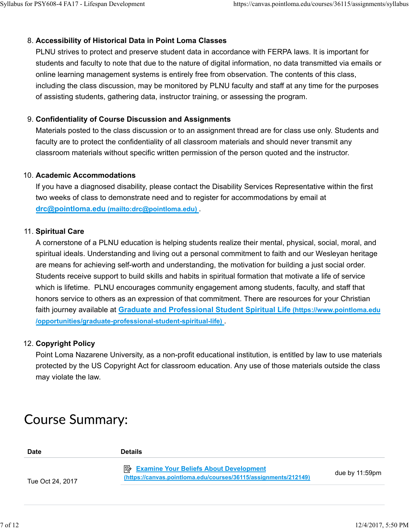# **Accessibility of Historical Data in Point Loma Classes** 8.

PLNU strives to protect and preserve student data in accordance with FERPA laws. It is important for students and faculty to note that due to the nature of digital information, no data transmitted via emails or online learning management systems is entirely free from observation. The contents of this class, including the class discussion, may be monitored by PLNU faculty and staff at any time for the purposes of assisting students, gathering data, instructor training, or assessing the program.

## **Confidentiality of Course Discussion and Assignments** 9.

Materials posted to the class discussion or to an assignment thread are for class use only. Students and faculty are to protect the confidentiality of all classroom materials and should never transmit any classroom materials without specific written permission of the person quoted and the instructor.

#### **Academic Accommodations** 10.

If you have a diagnosed disability, please contact the Disability Services Representative within the first two weeks of class to demonstrate need and to register for accommodations by email at **drc@pointloma.edu (mailto:drc@pointloma.edu)** .

#### 11. Spiritual Care

A cornerstone of a PLNU education is helping students realize their mental, physical, social, moral, and spiritual ideals. Understanding and living out a personal commitment to faith and our Wesleyan heritage are means for achieving self-worth and understanding, the motivation for building a just social order. Students receive support to build skills and habits in spiritual formation that motivate a life of service which is lifetime. PLNU encourages community engagement among students, faculty, and staff that honors service to others as an expression of that commitment. There are resources for your Christian faith journey available at **Graduate and Professional Student Spiritual Life (https://www.pointloma.edu /opportunities/graduate-professional-student-spiritual-life)** .

## **Copyright Policy** 12.

Point Loma Nazarene University, as a non-profit educational institution, is entitled by law to use materials protected by the US Copyright Act for classroom education. Any use of those materials outside the class may violate the law.

# **Course Summary:**

| <b>Date</b>      | <b>Details</b>                                                                                                   |                   |
|------------------|------------------------------------------------------------------------------------------------------------------|-------------------|
| Tue Oct 24, 2017 | <b>Examine Your Beliefs About Development</b><br>(https://canvas.pointloma.edu/courses/36115/assignments/212149) | due by $11:59$ pm |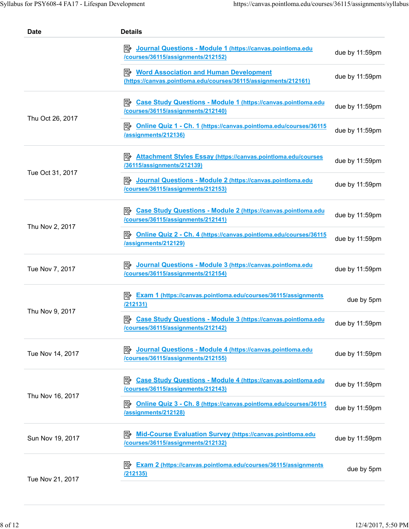| <b>Date</b>      | <b>Details</b>                                                                                                     |                |
|------------------|--------------------------------------------------------------------------------------------------------------------|----------------|
|                  | Dournal Questions - Module 1 (https://canvas.pointloma.edu<br>/courses/36115/assignments/212152)                   | due by 11:59pm |
|                  | <b>E</b> Word Association and Human Development<br>(https://canvas.pointloma.edu/courses/36115/assignments/212161) | due by 11:59pm |
| Thu Oct 26, 2017 | <b>Case Study Questions - Module 1 (https://canvas.pointloma.edu</b><br> 5≽<br>/courses/36115/assignments/212140)  | due by 11:59pm |
|                  | <b>E</b> Online Quiz 1 - Ch. 1 (https://canvas.pointloma.edu/courses/36115<br>/assignments/212136)                 | due by 11:59pm |
| Tue Oct 31, 2017 | <b>Attachment Styles Essay (https://canvas.pointloma.edu/courses</b><br>/36115/assignments/212139)                 | due by 11:59pm |
|                  | Journal Questions - Module 2 (https://canvas.pointloma.edu<br> ⋽≽<br>/courses/36115/assignments/212153)            | due by 11:59pm |
| Thu Nov 2, 2017  | <b>Case Study Questions - Module 2 (https://canvas.pointloma.edu</b><br>/courses/36115/assignments/212141)         | due by 11:59pm |
|                  | B Online Quiz 2 - Ch. 4 (https://canvas.pointloma.edu/courses/36115<br>/assignments/212129)                        | due by 11:59pm |
| Tue Nov 7, 2017  | Journal Questions - Module 3 (https://canvas.pointloma.edu<br>/courses/36115/assignments/212154)                   | due by 11:59pm |
| Thu Nov 9, 2017  | Exam 1 (https://canvas.pointloma.edu/courses/36115/assignments<br> ₩<br><u>/212131)</u>                            | due by 5pm     |
|                  | 診<br><b>Case Study Questions - Module 3 (https://canvas.pointloma.edu</b><br>/courses/36115/assignments/212142)    | due by 11:59pm |
| Tue Nov 14, 2017 | Journal Questions - Module 4 (https://canvas.pointloma.edu<br>⊯<br>/courses/36115/assignments/212155)              | due by 11:59pm |
| Thu Nov 16, 2017 | ⋽∕≻<br><b>Case Study Questions - Module 4 (https://canvas.pointloma.edu</b><br>/courses/36115/assignments/212143)  | due by 11:59pm |
|                  | 影<br>Online Quiz 3 - Ch. 8 (https://canvas.pointloma.edu/courses/36115<br>/assignments/212128)                     | due by 11:59pm |
| Sun Nov 19, 2017 | <b>Mid-Course Evaluation Survey (https://canvas.pointloma.edu</b><br> ⋽≽<br>/courses/36115/assignments/212132)     | due by 11:59pm |
| Tue Nov 21, 2017 | ≅⁄⊵<br><b>Exam 2 (https://canvas.pointloma.edu/courses/36115/assignments</b><br>/212135)                           | due by 5pm     |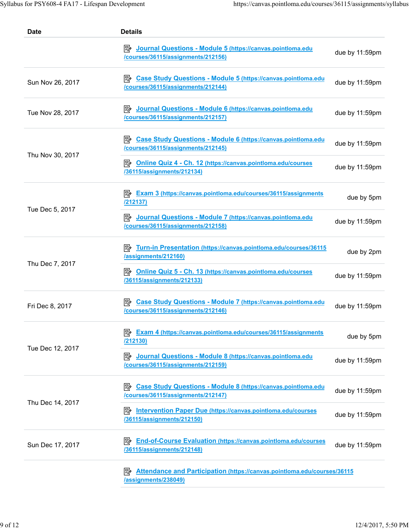| <b>Date</b>      | <b>Details</b>                                                                                                     |                |
|------------------|--------------------------------------------------------------------------------------------------------------------|----------------|
|                  | Dournal Questions - Module 5 (https://canvas.pointloma.edu<br>/courses/36115/assignments/212156)                   | due by 11:59pm |
| Sun Nov 26, 2017 | <b>E</b> Case Study Questions - Module 5 (https://canvas.pointloma.edu<br>/courses/36115/assignments/212144)       | due by 11:59pm |
| Tue Nov 28, 2017 | Dournal Questions - Module 6 (https://canvas.pointloma.edu<br>/courses/36115/assignments/212157)                   | due by 11:59pm |
| Thu Nov 30, 2017 | <b>Extends Case Study Questions - Module 6 (https://canvas.pointloma.edu</b><br>/courses/36115/assignments/212145) | due by 11:59pm |
|                  | <b>Extending Quiz 4 - Ch. 12 (https://canvas.pointloma.edu/courses</b><br>/36115/assignments/212134)               | due by 11:59pm |
| Tue Dec 5, 2017  | Exam 3 (https://canvas.pointloma.edu/courses/36115/assignments<br><u>/212137)</u>                                  | due by 5pm     |
|                  | Dournal Questions - Module 7 (https://canvas.pointloma.edu<br>/courses/36115/assignments/212158)                   | due by 11:59pm |
| Thu Dec 7, 2017  | /assignments/212160)                                                                                               | due by 2pm     |
|                  | <b>E</b> Online Quiz 5 - Ch. 13 (https://canvas.pointloma.edu/courses<br>/36115/assignments/212133)                | due by 11:59pm |
| Fri Dec 8, 2017  | B Case Study Questions - Module 7 (https://canvas.pointloma.edu<br>/courses/36115/assignments/212146)              | due by 11:59pm |
| Tue Dec 12, 2017 | Exam 4 (https://canvas.pointloma.edu/courses/36115/assignments<br><b>/212130)</b>                                  | due by 5pm     |
|                  | Journal Questions - Module 8 (https://canvas.pointloma.edu<br> ≅⁄⊵<br>/courses/36115/assignments/212159)           | due by 11:59pm |
| Thu Dec 14, 2017 | 5≽<br><b>Case Study Questions - Module 8 (https://canvas.pointloma.edu</b><br>/courses/36115/assignments/212147)   | due by 11:59pm |
|                  | <b>Intervention Paper Due (https://canvas.pointloma.edu/courses</b><br> ⋽⁄≻<br>/36115/assignments/212150)          | due by 11:59pm |
| Sun Dec 17, 2017 | <b>End-of-Course Evaluation (https://canvas.pointloma.edu/courses</b><br>⊯<br>/36115/assignments/212148)           | due by 11:59pm |
|                  | Attendance and Participation (https://canvas.pointloma.edu/courses/36115<br> 5≽<br>/assignments/238049)            |                |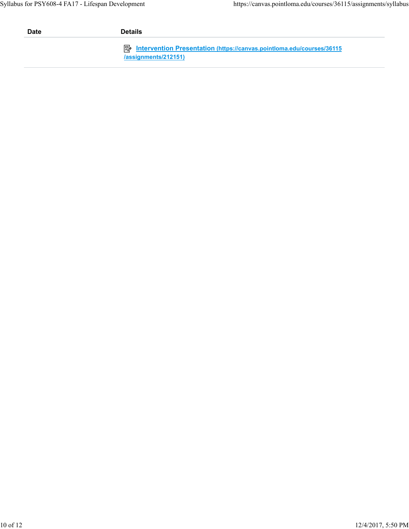| <b>Date</b> | <b>Details</b>                                                                                         |
|-------------|--------------------------------------------------------------------------------------------------------|
|             | <b>E</b> Intervention Presentation (https://canvas.pointloma.edu/courses/36115<br>/assignments/212151) |